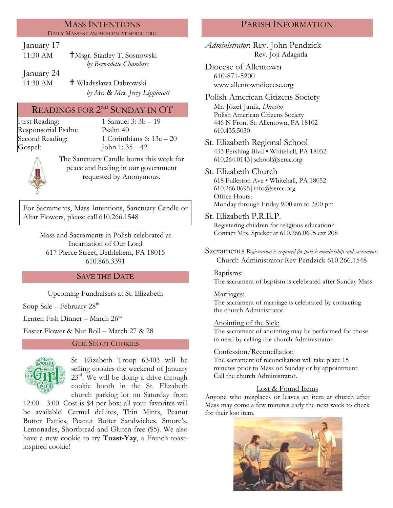#### MASS INTENTIONS DAILY MASSES CAN BE SEEN AT SERCC.ORG

January 17

| $11:30$ AM | <b>TMsgr.</b> Stanley T. Sosnowski |
|------------|------------------------------------|
|            | by Bernadette Chambers             |
| January 24 |                                    |

11:30 AM Wladyslawa Dabrowski *by Mr. & Mrs. Jerry Lippincott*

# READINGS FOR  $2^{ND}$  SUNDAY IN OT

Responsorial Psalm: [Psalm](http://www.usccb.org/bible/readings/bible/psalms/25:4) 40

First Reading: 1 Samuel 3:  $3b - 19$ Second Reading:  $1$  Corinthians 6:  $13c - 20$ Gospel: John 1: 35 – 42



The Sanctuary Candle burns this week for peace and healing in our government requested by Anonymous.

For Sacraments, Mass Intentions, Sanctuary Candle or Altar Flowers, please call 610.266.1548

Mass and Sacraments in Polish celebrated at Incarnation of Our Lord 617 Pierce Street, Bethlehem, PA 18015 610.866.3391

# SAVE THE DATE

Upcoming Fundraisers at St. Elizabeth

Soup Sale – February  $28<sup>th</sup>$ 

Lenten Fish Dinner – March  $26<sup>th</sup>$ 

Easter Flower & Nut Roll – March 27 & 28

#### GIRL SCOUT COOKIES



St. Elizabeth Troop 63403 will be selling cookies the weekend of January  $23<sup>rd</sup>$ . We will be doing a drive through cookie booth in the St. Elizabeth church parking lot on Saturday from

12:00 - 3:00. Cost is \$4 per box; all your favorites will be available! Carmel deLites, Thin Mints, Peanut Butter Patties, Peanut Butter Sandwiches, Smore's, Lemonades, Shortbread and Gluten free (\$5). We also have a new cookie to try **Toast-Yay**, a French toastinspired cookie!

# PARISH INFORMATION

*Administrator*: Rev. John Pendzick Rev. Joji Adagatla

Diocese of Allentown 610-871-5200 www.allentowndiocese.org

Polish American Citizens Society Mr. Jòzef Janik, *Director* Polish American Citizens Society 446 N Front St. Allentown, PA 18102 610.435.5030

St. Elizabeth Regional School 433 Pershing Blvd • Whitehall, PA 18052 610.264.0143|school@sercc.org

# St. Elizabeth Church

618 Fullerton Ave • Whitehall, PA 18052 610.266.0695|info@sercc.org Office Hours: Monday through Friday 9:00 am to 3:00 pm

St. Elizabeth P.R.E.P.

Registering children for religious education? Contact Mrs. Spieker at 610.266.0695 ext 208

Sacraments *Registration is required for parish membership and sacraments* Church Administrator Rev Pendzick 610.266.1548

#### Baptisms:

The sacrament of baptism is celebrated after Sunday Mass.

#### Marriages:

The sacrament of marriage is celebrated by contacting the church Administrator.

#### Anointing of the Sick:

The sacrament of anointing may be performed for those in need by calling the church Administrator.

## Confession/Reconciliation

The sacrament of reconciliation will take place 15 minutes prior to Mass on Sunday or by appointment. Call the church Administrator.

## Lost & Found Items

Anyone who misplaces or leaves an item at church after Mass may come a few minutes early the next week to check for their lost item.